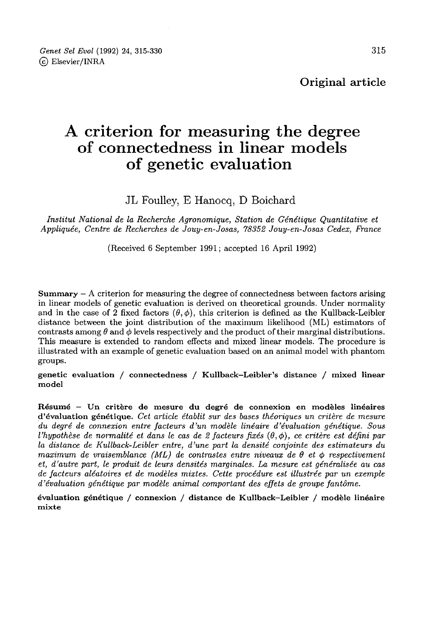Original article

# A criterion for measuring the degree of connectedness in linear models of genetic evaluation

JL Foulley, E Hanocq, D Boichard

Institut National de la Recherche Agronomique, Station de Génétique Quantitative et Appliquée, Centre de Recherches de Jouy-en-Josas, 78352 Jouy-en-Josas Cedex, France

(Received 6 September 1991; accepted 16 April 1992)

Summary  $-$  A criterion for measuring the degree of connectedness between factors arising in linear models of genetic evaluation is derived on theoretical grounds. Under normality and in the case of 2 fixed factors  $(\theta, \phi)$ , this criterion is defined as the Kullback-Leibler distance between the joint distribution of the maximum likelihood (ML) estimators of contrasts among  $\theta$  and  $\phi$  levels respectively and the product of their marginal distributions. This measure is extended to random effects and mixed linear models. The procedure is illustrated with an example of genetic evaluation based on an animal model with phantom groups.

genetic evaluation / connectedness / Kullback-Leibler's distance / mixed linear model

Résumé - Un critère de mesure du degré de connexion en modèles linéaires d'évaluation génétique. Cet article établit sur des bases théoriques un critère de mesure du degré de connexion entre facteurs d'un modèle linéaire d'évaluation génétique. Sous l'hypothèse de normalité et dans le cas de 2 facteurs fixés  $(\theta, \phi)$ , ce critère est défini par la distance de Kullback-Leibler entre, d'une part la densité conjointe des estimateurs du maximum de vraisemblance (ML) de contrastes entre niveaux de  $\theta$  et  $\phi$  respectivement et, d'autre part, le produit de leurs densités marginales. La mesure est généralisée au cas de facteurs aléatoires et de modèles mixtes. Cette procédure est illustrée par un exemple d'évaluation génétique par modèle animal comportant des effets de groupe fantôme.

évaluation génétique / connexion / distance de Kullback-Leibler / modèle linéaire mixte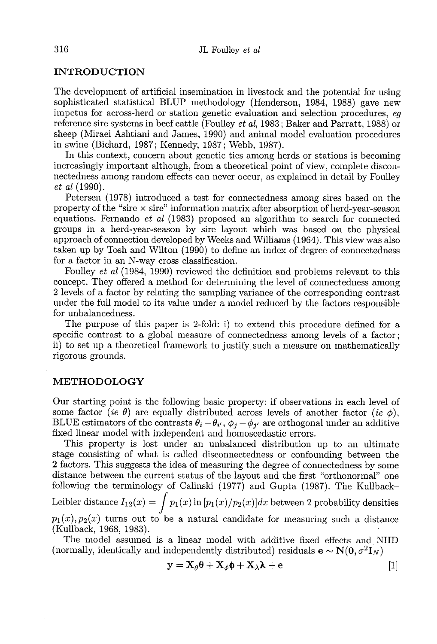## INTRODUCTION

The development of artificial insemination in livestock and the potential for using sophisticated statistical BLUP methodology (Henderson, 1984, 1988) gave new impetus for across-herd or station genetic evaluation and selection procedures, eg reference sire systems in beef cattle (Foulley et al, 1983; Baker and Parratt, 1988) or sheep (Miraei Ashtiani and James, 1990) and animal model evaluation procedures in swine (Bichard, 1987; Kennedy, 1987; Webb, 1987).

In this context, concern about genetic ties among herds or stations is becoming increasingly important although, from a theoretical point of view, complete disconnectedness among random effects can never occur, as explained in detail by Foulley et al (1990).

Petersen (1978) introduced a test for connectedness among sires based on the property of the "sire  $\times$  sire" information matrix after absorption of herd-year-season equations. Fernando et al (1983) proposed an algorithm to search for connected groups in a herd-year-season by sire layout which was based on the physical approach of connection developed by Weeks and Williams (19G4). This view was also taken up by Tosh and Wilton (1990) to define an index of degree of connectedness for a factor in an N-way cross classification.

Foulley et al (1984, 1990) reviewed the definition and problems relevant to this concept. They offered a method for determining the level of connectedness among 2 levels of a factor by relating the sampling variance of the corresponding contrast under the full model to its value under a model reduced by the factors responsible for unbalancedness.

The purpose of this paper is 2-fold: i) to extend this procedure defined for a specific contrast to a global measure of connectedness among levels of a factor; ii) to set up a theoretical framework to justify such a measure on mathematically rigorous grounds.

## METHODOLOGY

Our starting point is the following basic property: if observations in each level of some factor (ie  $\theta$ ) are equally distributed across levels of another factor (ie  $\phi$ ), Our starting point is the following basic property: if observations in each level of some factor (*ie*  $\theta$ ) are equally distributed across levels of another factor (*ie*  $\phi$ ), BLUE estimators of the contrasts  $\theta_i - \theta_{i'},$ fixed linear model with independent and homoscedastic errors.

This property is lost under an unbalanced distribution up to an ultimate stage consisting of what is called disconnectedness or confounding between the 2 factors. This suggests the idea of measuring the degree of connectedness by some distance between the current status of the layout and the first "orthonormal" one following the terminology of Calinski (1977) and Gupta (1987). The Kullback-Let us a model with independent and homoscedastic errors.<br>
This property is lost under an unbalanced distribution up to an ultimate<br>
stage consisting of what is called disconnectedness or confounding between the<br>
2 factor  $p_1(x), p_2(x)$  turns out to be a natural candidate for measuring such a distance (Kullback, 1968, 1983). Leibler distance  $I_{12}(x) = \int p_1(x) \ln [p_1(x)/p_2(x)] dx$  between 2 probability density  $p_1(x), p_2(x)$  turns out to be a natural candidate for measuring such a distant (Kullback, 1968, 1983).<br>
The model assumed is a linear model wit

The model assumed is a linear model with additive fixed effects and NIID (normally, identically and independently distributed) residuals  $e \sim N(0, \sigma^2 I_N)$ 

$$
\mathbf{y} = \mathbf{X}_{\theta} \boldsymbol{\theta} + \mathbf{X}_{\phi} \boldsymbol{\phi} + \mathbf{X}_{\lambda} \boldsymbol{\lambda} + \mathbf{e}
$$
 [1]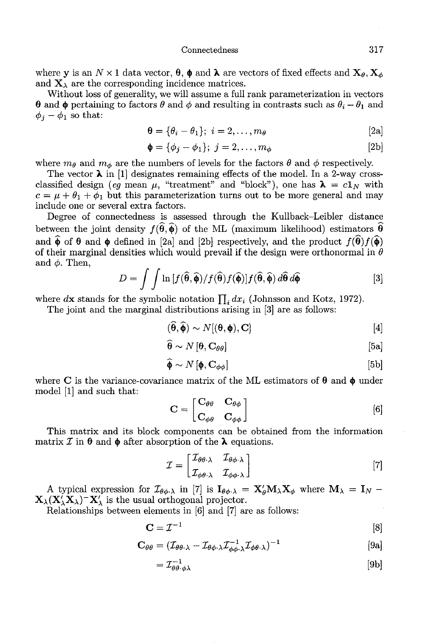where y is an  $N \times 1$  data vector,  $\theta$ ,  $\phi$  and  $\lambda$  are vectors of fixed effects and  $\mathbf{X}_{\theta}$ ,  $\mathbf{X}_{\phi}$ and  $\mathbf{X}_{\lambda}$  are the corresponding incidence matrices.

Without loss of generality, we will assume a full rank parameterization in vectors  $\theta$  and  $\phi$  pertaining to factors  $\theta$  and  $\phi$  and resulting in contrasts such as  $\theta_i - \theta_1$  and  $\phi_i - \phi_1$  so that:

$$
\mathbf{\theta} = \{\theta_i - \theta_1\}; \ i = 2, \dots, m_\theta \tag{2a}
$$

$$
\mathbf{\Phi} = \{\phi_j - \phi_1\}; \ j = 2, \dots, m_{\phi} \tag{2b}
$$

where  $m_{\theta}$  and  $m_{\phi}$  are the numbers of levels for the factors  $\theta$  and  $\phi$  respectively.

The vector  $\lambda$  in [1] designates remaining effects of the model. In a 2-way crossclassified design (eq mean  $\mu$ , "treatment" and "block"), one has  $\lambda = c1_N$  with  $c = \mu + \theta_1 + \phi_1$  but this parameterization turns out to be more general and may include one or several extra factors.

Degree of connectedness is assessed through the Kullback-Leibler distance between the joint density  $f(\hat{\theta}, \hat{\phi})$  of the ML (maximum likelihood) estimators  $\hat{\theta}$ and  $\hat{\phi}$  of  $\theta$  and  $\phi$  defined in [2a] and [2b] respectively, and the product  $f(\hat{\theta})f(\hat{\phi})$ of their marginal densities which would prevail if the design were orthonormal in  $\theta$ and  $\phi$ . Then,

$$
D = \int \int \ln \left[f(\widehat{\boldsymbol{\theta}}, \widehat{\boldsymbol{\phi}})/f(\widehat{\boldsymbol{\theta}}) f(\widehat{\boldsymbol{\phi}})\right] f(\widehat{\boldsymbol{\theta}}, \widehat{\boldsymbol{\phi}}) d\widehat{\boldsymbol{\theta}} d\widehat{\boldsymbol{\phi}} \tag{3}
$$

where dx stands for the symbolic notation  $\prod_i dx_i$  (Johnsson and Kotz, 1972).

The joint and the marginal distributions arising in [3] are as follows:

$$
(\hat{\boldsymbol{\theta}}, \hat{\boldsymbol{\phi}}) \sim N[(\boldsymbol{\theta}, \boldsymbol{\phi}), \mathbf{C}] \tag{4}
$$

$$
\boldsymbol{\theta} \sim N\left[\boldsymbol{\theta}, \mathbf{C}_{\theta\theta}\right] \tag{5a}
$$

$$
\widehat{\boldsymbol{\phi}} \sim N\left[\boldsymbol{\phi}, \mathbf{C}_{\phi\phi}\right] \tag{5b}
$$

where C is the variance-covariance matrix of the ML estimators of  $\theta$  and  $\phi$  under model  $[1]$  and such that:

$$
\mathbf{C} = \begin{bmatrix} \mathbf{C}_{\theta\theta} & \mathbf{C}_{\theta\phi} \\ \mathbf{C}_{\phi\theta} & \mathbf{C}_{\phi\phi} \end{bmatrix}
$$
 [6]

This matrix and its block components can be obtained from the information matrix  $\mathcal I$  in  $\theta$  and  $\phi$  after absorption of the  $\lambda$  equations.

$$
\mathcal{I} = \begin{bmatrix} \mathcal{I}_{\theta\theta\cdot\lambda} & \mathcal{I}_{\theta\phi\cdot\lambda} \\ \mathcal{I}_{\phi\theta\cdot\lambda} & \mathcal{I}_{\phi\phi\cdot\lambda} \end{bmatrix}
$$
 [7]

A typical expression for  $\mathcal{I}_{\theta\phi\cdot\lambda}$  in [7] is  $I_{\theta\phi\cdot\lambda} = X'_{\theta}M_{\lambda}X_{\phi}$  where  $M_{\lambda} = I_{N}$  - $\mathbf{X}_{\lambda}(\mathbf{X}_{\lambda}'\mathbf{X}_{\lambda})$ <sup>-</sup> $\mathbf{X}_{\lambda}'$  is the usual orthogonal projector.

Relationships between elements in [6] and [7] are as follows: '

$$
\mathbf{C} = \mathcal{I}^{-1} \tag{8}
$$

$$
\mathbf{C}_{\theta\theta} = (\mathcal{I}_{\theta\theta\cdot\lambda} - \mathcal{I}_{\theta\phi\cdot\lambda}\mathcal{I}_{\phi\phi\cdot\lambda}^{-1}\mathcal{I}_{\phi\theta\cdot\lambda})^{-1}
$$
 [9a]

$$
=\mathcal{I}_{\theta\theta\cdot\phi\lambda}^{-1}\tag{9b}
$$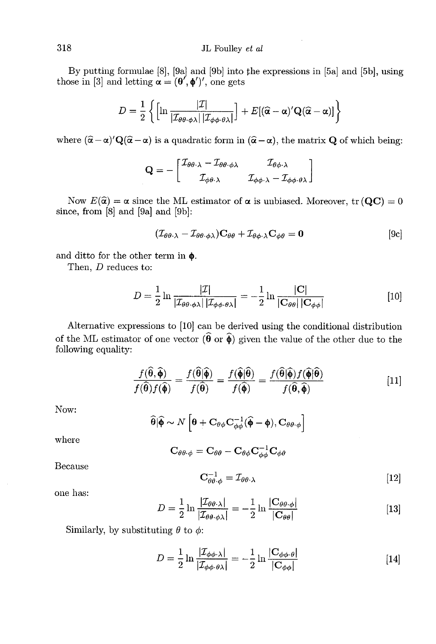By putting formulae [8], [9a) and [9b] into the expressions in [5a] and [5b], using those in [3] and letting  $\alpha = (\theta', \phi')'$ , one gets

$$
D = \frac{1}{2} \left\{ \left[ \ln \frac{|\mathcal{I}|}{|\mathcal{I}_{\theta\theta \cdot \phi \lambda}| |\mathcal{I}_{\phi\phi \cdot \theta \lambda}|} \right] + E[(\widehat{\alpha} - \alpha)' \mathbf{Q}(\widehat{\alpha} - \alpha)] \right\}
$$

where  $(\hat{\alpha} - \alpha)' Q(\hat{\alpha} - \alpha)$  is a quadratic form in  $(\hat{\alpha} - \alpha)$ , the matrix Q of which being:

$$
\mathbf{Q} = -\begin{bmatrix} \mathcal{I}_{\theta\theta\cdot\lambda} - \mathcal{I}_{\theta\theta\cdot\phi\lambda} & \mathcal{I}_{\theta\phi\cdot\lambda} \\ \mathcal{I}_{\phi\theta\cdot\lambda} & \mathcal{I}_{\phi\phi\cdot\lambda} - \mathcal{I}_{\phi\phi\cdot\theta\lambda} \end{bmatrix}
$$

Now  $E(\hat{\alpha}) = \alpha$  since the ML estimator of  $\alpha$  is unbiased. Moreover, tr (QC) = 0 since, from [8] and [9a] and [9b]:

$$
(\mathcal{I}_{\theta\theta\cdot\lambda} - \mathcal{I}_{\theta\theta\cdot\phi\lambda})\mathbf{C}_{\theta\theta} + \mathcal{I}_{\theta\phi\cdot\lambda}\mathbf{C}_{\phi\theta} = \mathbf{0}
$$
 [9c]

and ditto for the other term in  $\pmb{\phi}.$ 

Then, D reduces to:

$$
D = \frac{1}{2} \ln \frac{|\mathcal{I}|}{|\mathcal{I}_{\theta\theta \cdot \phi\lambda}| |\mathcal{I}_{\phi\phi \cdot \theta\lambda}|} = -\frac{1}{2} \ln \frac{|\mathbf{C}|}{|\mathbf{C}_{\theta\theta}| |\mathbf{C}_{\phi\phi}|}
$$
(10)

Alternative expressions to [10] can be derived using the conditional distribution of the ML estimator of one vector  $(\widehat{\boldsymbol{\theta}})$  or  $\widehat{\boldsymbol{\phi}})$  given the value of the other due to the following equality:

$$
\frac{f(\widehat{\boldsymbol{\theta}},\widehat{\boldsymbol{\phi}})}{f(\widehat{\boldsymbol{\theta}})f(\widehat{\boldsymbol{\phi}})} = \frac{f(\widehat{\boldsymbol{\theta}}|\widehat{\boldsymbol{\phi}})}{f(\widehat{\boldsymbol{\theta}})} = \frac{f(\widehat{\boldsymbol{\phi}}|\widehat{\boldsymbol{\theta}})}{f(\widehat{\boldsymbol{\phi}})} = \frac{f(\widehat{\boldsymbol{\theta}}|\widehat{\boldsymbol{\phi}})f(\widehat{\boldsymbol{\phi}}|\widehat{\boldsymbol{\theta}})}{f(\widehat{\boldsymbol{\theta}},\widehat{\boldsymbol{\phi}})}
$$
[11]

Now:

$$
\widehat{\boldsymbol{\theta}}|\widehat{\boldsymbol{\phi}} \sim N\left[\boldsymbol{\theta} + \mathbf{C}_{\theta\phi}\mathbf{C}_{\phi\phi}^{-1}(\widehat{\boldsymbol{\phi}} - \boldsymbol{\phi}), \mathbf{C}_{\theta\theta\cdot\phi}\right]
$$

where

$$
\mathbf{C}_{\theta\theta\cdot\phi} = \mathbf{C}_{\theta\theta} - \mathbf{C}_{\theta\phi}\mathbf{C}_{\phi\phi}^{-1}\mathbf{C}_{\phi\theta}
$$

Because

$$
\mathbf{C}_{\theta\theta\cdot\phi}^{-1} = \mathcal{I}_{\theta\theta\cdot\lambda} \tag{12}
$$

one has:

$$
D = \frac{1}{2} \ln \frac{|\mathcal{I}_{\theta\theta\cdot\lambda}|}{|\mathcal{I}_{\theta\theta\cdot\phi\lambda}|} = -\frac{1}{2} \ln \frac{|\mathbf{C}_{\theta\theta\cdot\phi}|}{|\mathbf{C}_{\theta\theta}|}
$$
 [13]

Similarly, by substituting  $\theta$  to  $\phi$ :

$$
D = \frac{1}{2} \ln \frac{|\mathcal{I}_{\phi\phi \cdot \lambda}|}{|\mathcal{I}_{\phi\phi \cdot \theta \lambda}|} = -\frac{1}{2} \ln \frac{|\mathbf{C}_{\phi\phi \cdot \theta}|}{|\mathbf{C}_{\phi\phi}|}
$$
 [14]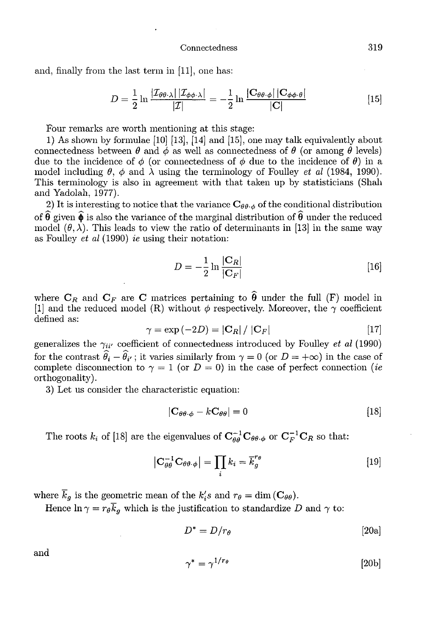and, finally from the last term in [11], one has:

$$
D = \frac{1}{2} \ln \frac{|\mathcal{I}_{\theta\theta\cdot\lambda}| |\mathcal{I}_{\phi\phi\cdot\lambda}|}{|\mathcal{I}|} = -\frac{1}{2} \ln \frac{|\mathbf{C}_{\theta\theta\cdot\phi}| |\mathbf{C}_{\phi\phi\cdot\theta}|}{|\mathbf{C}|}
$$
(15)

Four remarks are worth mentioning at this stage:

1) As shown by formulae  $[10]$   $[13]$ ,  $[14]$  and  $[15]$ , one may talk equivalently about connectedness between  $\theta$  and  $\phi$  as well as connectedness of  $\theta$  (or among  $\theta$  levels) due to the incidence of  $\phi$  (or connectedness of  $\phi$  due to the incidence of  $\theta$ ) in a model including  $\theta$ ,  $\phi$  and  $\lambda$  using the terminology of Foulley *et al* (1984, 1990). This terminology is also in agreement with that taken up by statisticians (Shah and Yadolah, 1977).

2) It is interesting to notice that the variance  $C_{\theta\theta\cdot\phi}$  of the conditional distribution of  $\hat{\theta}$  given  $\hat{\phi}$  is also the variance of the marginal distribution of  $\hat{\theta}$  under the reduced model  $(\theta, \lambda)$ . This leads to view the ratio of determinants in [13] in the same way as Foulley et al (1990) ie using their notation:

$$
D = -\frac{1}{2} \ln \frac{|\mathbf{C}_R|}{|\mathbf{C}_F|} \tag{16}
$$

 $D = -\frac{1}{2} \ln \frac{|\mathbf{C}_R|}{|\mathbf{C}_F|}$  [16]<br>where  $\mathbf{C}_R$  and  $\mathbf{C}_F$  are  $\mathbf{C}$  matrices pertaining to  $\widehat{\boldsymbol{\theta}}$  under the full (F) model in<br>[1] and the reduced model (R) without  $\phi$  respectively. Moreover, the  $\gamma$ [1] and the reduced model (R) without  $\phi$  respectively. Moreover, the  $\gamma$  coefficient defined as:

$$
\gamma = \exp(-2D) = |\mathbf{C}_R| / |\mathbf{C}_F| \tag{17}
$$

generalizes the  $\gamma_{ii'}$  coefficient of connectedness introduced by Foulley et al (1990) where  $C_R$  and  $C_F$  are  $C$  matrices pertaining to  $\hat{\theta}$  under the full (F) model in [1] and the reduced model (R) without  $\phi$  respectively. Moreover, the  $\gamma$  coefficient defined as:<br>  $\gamma = \exp(-2D) = |C_R| / |C_F|$  [17]<br>
gener for the contrast  $\hat{\theta}_i - \hat{\theta}_{i'}$ ; it varies similarly from  $\gamma = 0$  (or  $D = +\infty$ ) in the case of complete disconnection to  $\gamma = 1$  (or  $D = 0$ ) in the case of perfect connection (*ie* orthogonality).

3) Let us consider the characteristic equation:

$$
|\mathbf{C}_{\theta\theta\cdot\phi} - k\mathbf{C}_{\theta\theta}| = 0 \tag{18}
$$

The roots  $k_i$  of [18] are the eigenvalues of  $C_{\theta\theta}^{-1}C_{\theta\theta\cdot\phi}$  or  $C_F^{-1}C_R$  so that:

$$
\left|\mathbf{C}_{\theta\theta}^{-1}\mathbf{C}_{\theta\theta\cdot\phi}\right| = \prod_{i} k_i = \overline{k}_g^{r_\theta} \tag{19}
$$

where  $\overline{k}_g$  is the geometric mean of the  $k_i$ s and  $r_\theta = \dim(\mathbf{C}_{\theta\theta})$ .

Hence  $\ln \gamma = r_{\theta} \overline{k}_{g}$  which is the justification to standardize D and  $\gamma$  to:

$$
D^* = D/r_\theta \tag{20a}
$$

and

$$
\gamma^* = \gamma^{1/r_\theta} \tag{20b}
$$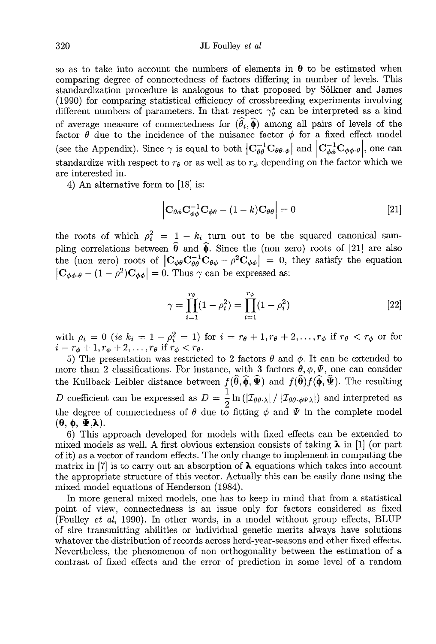so as to take into account the numbers of elements in  $\theta$  to be estimated when comparing degree of connectedness of factors differing in number of levels. This standardization procedure is analogous to that proposed by S61kner and James (1990) for comparing statistical efficiency of crossbreeding experiments involving different numbers of parameters. In that respect  $\gamma_{\theta}^*$  can be interpreted as a kind of average measure of connectedness for  $(\hat{\theta}_i, \hat{\phi})$  among all pairs of levels of the factor  $\theta$  due to the incidence of the nuisance factor  $\phi$  for a fixed effect model (see the Appendix). Since  $\gamma$  is equal to both  $\left|C_{\theta\theta}^{-1}C_{\theta\theta\cdot\phi}\right|$  and  $\left|C_{\phi\phi}^{-1}C_{\phi\phi\cdot\theta}\right|$ , one can standardize with respect to  $r_{\theta}$  or as well as to  $r_{\phi}$  depending on the factor which we are interested in.

4) An alternative form to [18] is:

$$
\left| \mathbf{C}_{\theta\phi} \mathbf{C}_{\phi\phi}^{-1} \mathbf{C}_{\phi\theta} - (1 - k) \mathbf{C}_{\theta\theta} \right| = 0 \tag{21}
$$

the roots of which  $\rho_i^2 = 1 - k_i$  turn out to be the squared canonical sampling correlations between  $\hat{\theta}$  and  $\hat{\phi}$ . Since the (non zero) roots of [21] are also (see the Appendix). Since  $\gamma$  is equal to both  $|C_{\theta\theta}^{-1}C_{\theta\theta\cdot\phi}|$  and  $|C_{\phi\phi}^{-1}C_{\phi\phi\cdot\theta}|$ , one can standardize with respect to  $r_{\theta}$  or as well as to  $r_{\phi}$  depending on the factor which we are interested i  $\left| \mathbf{C}_{\phi\phi\cdot\theta} - (1 - \rho^2)\mathbf{C}_{\phi\phi} \right| = 0$ . Thus  $\gamma$  can be expressed as:

$$
\gamma = \prod_{i=1}^{r_{\theta}} (1 - \rho_i^2) = \prod_{i=1}^{r_{\phi}} (1 - \rho_i^2)
$$
 [22]

with  $\rho_i = 0$  (ie  $k_i = 1 - \rho_i^2 = 1$ ) for  $i = r_{\theta} + 1, r_{\theta} + 2, \ldots, r_{\phi}$  if  $r_{\theta} < r_{\phi}$  or for  $i = r_{\phi} + 1, r_{\phi} + 2, \ldots, r_{\theta}$  if  $r_{\phi} < r_{\theta}$ .

5) The presentation was restricted to 2 factors  $\theta$  and  $\phi$ . It can be extended to more than 2 classifications. For instance, with 3 factors  $\theta$ ,  $\phi$ ,  $\Psi$ , one can consider more than 2 classifications. For instance, with 3 factors  $\theta$ ,  $\phi$ ,  $\Psi$ , one can consider the Kullback–Leibler distance between  $f(\hat{\theta}, \hat{\phi}, \hat{\Psi})$  and  $f(\hat{\theta})f(\hat{\phi}, \hat{\Psi})$ . The resulting<br>
D coefficient can be expressed as  $D = \frac{1}{2} \ln(|\mathcal{I}_{\theta\theta\cdot\lambda}|/|\mathcal{I}_{\theta\theta\cdot\phi\psi\lambda}|)$  and interpreted as<br>
the degree of conne  $(\theta, \phi, \Psi, \lambda)$ .

6) This approach developed for models with fixed effects can be extended to mixed models as well. A first obvious extension consists of taking  $\lambda$  in [1] (or part of it) as a vector of random effects. The only change to implement in computing the matrix in [7] is to carry out an absorption of  $\lambda$  equations which takes into account the appropriate structure of this vector. Actually this can be easily done using the mixed model equations of Henderson (1984).

In more general mixed models, one has to keep in mind that from a statistical point of view, connectedness is an issue only for factors considered as fixed (Foulley et al, 1990). In other words, in a model without group effects, BLUP of sire transmitting abilities or individual genetic merits always have solutions whatever the distribution of records across herd-year-seasons and other fixed effects. Nevertheless, the phenomenon of non orthogonality between the estimation of a contrast of fixed effects and the error of prediction in some level of a random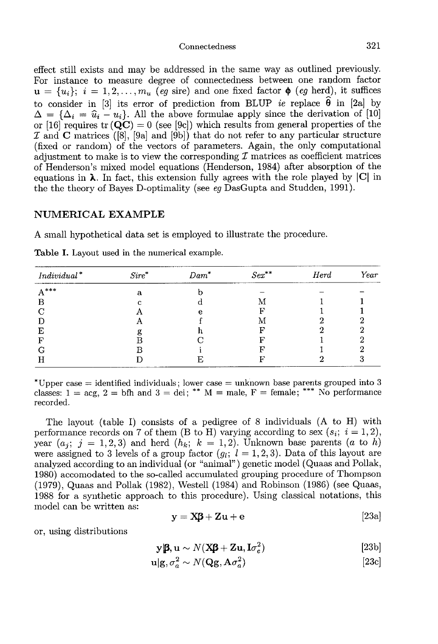effect still exists and may be addressed in the same way as outlined previously. For instance to measure degree of connectedness between one random factor  $u = \{u_i\}; i = 1, 2, \ldots, m_u$  (eg sire) and one fixed factor  $\phi$  (eg herd), it suffices to consider in [3] its error of prediction from BLUP *ie* replace  $\hat{\theta}$  in [2a] by  $\Delta = {\Delta_i = \hat{u}_i - u_i}$ . All the above formulae apply since the derivation of [10] or [16] requires tr (QC) = 0 (see [9c]) which results fro or [16] requires  $tr(QC) = 0$  (see [9c]) which results from general properties of the  $\mathcal I$  and  $C$  matrices ([8], [9a] and [9b]) that do not refer to any particular structure (fixed or random) of the vectors of parameters. Again, the only computational adjustment to make is to view the corresponding  $\mathcal I$  matrices as coefficient matrices of Henderson's mixed model equations (Henderson, 1984) after absorption of the equations in  $\lambda$ . In fact, this extension fully agrees with the role played by  $|C|$  in the the theory of Bayes D-optimality (see eg DasGupta and Studden, 1991).

## NUMERICAL EXAMPLE

A small hypothetical data set is employed to illustrate the procedure.

| $Individual^*$ | $Sire^*$ | $Dam^*$ | $Sex^{\ast\ast}$ | Herd | Year |
|----------------|----------|---------|------------------|------|------|
| $A***$         | Я.       |         |                  |      |      |
| В              |          |         |                  |      |      |
| $\mathcal{C}$  |          | е       |                  |      |      |
|                |          |         |                  |      |      |
| E              |          |         |                  |      |      |
|                |          |         |                  |      |      |
|                |          |         |                  |      |      |
|                |          |         |                  |      |      |

Table I. Layout used in the numerical example.

\*Upper case = identified individuals; lower case = unknown base parents grouped into 3 classes:  $1 = \text{acg}, 2 = \text{bfh}$  and  $3 = \text{dei}$ ; \*\*  $M = \text{male}$ ,  $F = \text{female}$ ; \*\*\* No performance recorded.

The layout (table I) consists of a pedigree of 8 individuals (A to H) with performance records on 7 of them (B to H) varying according to sex  $(s_i; i = 1, 2)$ , year  $(a_j; j = 1, 2, 3)$  and herd  $(h_k; k = 1, 2)$ . Unknown base parents  $(a \text{ to } h)$  were assigned to 3 levels of a group factor  $(g_i; l = 1, 2, 3)$ . Data of this layout are analyzed according to an individual (or "animal") genetic model (Quaas and Pollak, 1980) accomodated to the so-called accumulated grouping procedure of Thompson (1979), Quaas and Pollak (1982), Westell (1984) and Robinson (1986) (see Quaas, 1988 for a synthetic approach to this procedure). Using classical notations, this model can be written as:

$$
y = X\beta + Zu + e
$$
 [23a]

or, using distributions

$$
\mathbf{y} \mathbf{\beta}, \mathbf{u} \sim N(\mathbf{X}\mathbf{\beta} + \mathbf{Z}\mathbf{u}, \mathbf{I}\sigma_e^2) \tag{23b}
$$

$$
\mathbf{u}|\mathbf{g}, \sigma_a^2 \sim N(\mathbf{Qg}, \mathbf{A}\sigma_a^2) \tag{23c}
$$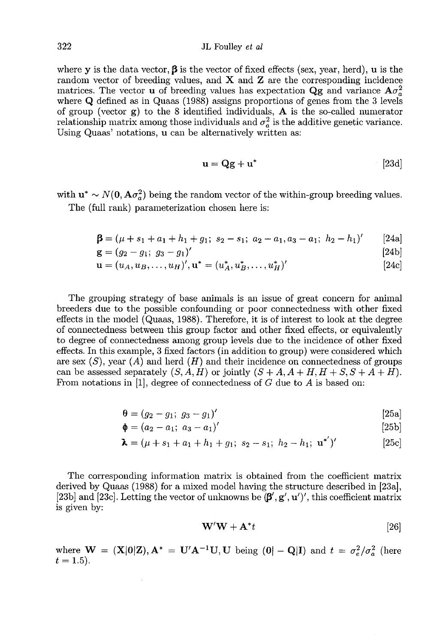where y is the data vector,  $\beta$  is the vector of fixed effects (sex, year, herd), u is the random vector of breeding values, and  $X$  and  $Z$  are the corresponding incidence matrices. The vector **u** of breeding values has expectation  $\mathbf{Q}\mathbf{g}$  and variance  $\mathbf{A}\sigma_a^2$ where Q defined as in Quaas (1988) assigns proportions of genes from the 3 levels of group (vector  $g$ ) to the 8 identified individuals,  $A$  is the so-called numerator relationship matrix among those individuals and  $\sigma_a^2$  is the additive genetic variance. Using Quaas' notations, u can be alternatively written as:

$$
\mathbf{u} = \mathbf{Q}\mathbf{g} + \mathbf{u}^* \tag{23d}
$$

with  $\mathbf{u}^* \sim N(\mathbf{0}, \mathbf{A}\sigma_a^2)$  being the random vector of the within-group breeding values. The (full rank) parameterization chosen here is:

$$
\mathbf{\beta} = (\mu + s_1 + a_1 + h_1 + g_1; \ s_2 - s_1; \ a_2 - a_1, a_3 - a_1; \ h_2 - h_1)'
$$
 [24a]

$$
\mathbf{g} = (g_2 - g_1; \ g_3 - g_1)'
$$
 [24b]

$$
\mathbf{u} = (u_A, u_B, \dots, u_H)', \mathbf{u}^* = (u_A^*, u_B^*, \dots, u_H^*)'
$$
 (24c)

The grouping strategy of base animals is an issue of great concern for animal breeders due to the possible confounding or poor connectedness with other fixed effects in the model (Quaas, 1988). Therefore, it is of interest to look at the degree of connectedness between this group factor and other fixed effects, or equivalently to degree of connectedness among group levels due to the incidence of other fixed effects. In this example, 3 fixed factors (in addition to group) were considered which are sex  $(S)$ , year  $(A)$  and herd  $(H)$  and their incidence on connectedness of groups can be assessed separately  $(S, A, H)$  or jointly  $(S + A, A + H, H + S, S + A + H)$ . From notations in [1], degree of connectedness of  $G$  due to  $A$  is based on:

$$
\mathbf{\theta} = (g_2 - g_1; \ g_3 - g_1)'
$$
 [25a]

$$
\mathbf{\phi} = (a_2 - a_1; \ a_3 - a_1)'
$$
 [25b]

$$
\lambda = (\mu + s_1 + a_1 + h_1 + g_1; s_2 - s_1; h_2 - h_1; \mathbf{u}^*)'
$$
 [25c]

The corresponding information matrix is obtained from the coefficient matrix derived by Quaas (1988) for a mixed model having the structure described in [23a], [23b] and [23c]. Letting the vector of unknowns be  $(\beta', g', u')'$ , this coefficient matrix is given by:

$$
\mathbf{W}'\mathbf{W} + \mathbf{A}^*t \tag{26}
$$

where  $\mathbf{W} = (\mathbf{X}|\mathbf{0}|\mathbf{Z}), \mathbf{A}^* = \mathbf{U}'\mathbf{A}^{-1}\mathbf{U}, \mathbf{U}$  being  $(\mathbf{0}|\mathbf{0}|\mathbf{Q}|\mathbf{I})$  and  $t = \sigma_e^2/\sigma_a^2$  (here  $t = 1.5$ .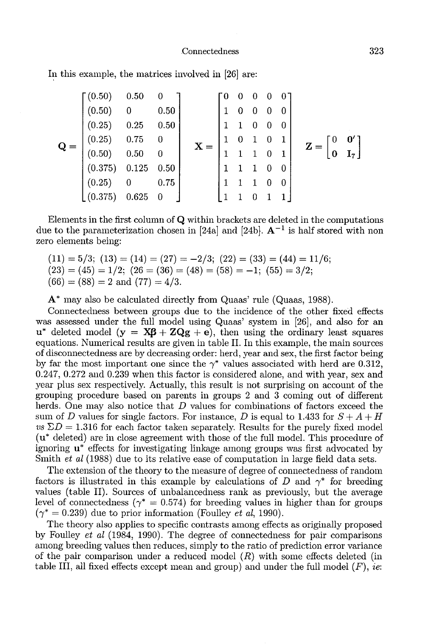In this example, the matrices involved in [26] are:

$$
\mathbf{Q} = \begin{bmatrix}\n(0.50) & 0.50 & 0 \\
(0.50) & 0 & 0.50 \\
(0.25) & 0.25 & 0.50 \\
(0.50) & 0.50 & 0 \\
(0.375) & 0.125 & 0.50 \\
(0.25) & 0 & 0.75 \\
(0.375) & 0.625 & 0\n\end{bmatrix}\n\quad\n\mathbf{X} = \begin{bmatrix}\n0 & 0 & 0 & 0 & 0 \\
1 & 0 & 0 & 0 & 0 \\
1 & 1 & 0 & 0 & 0 \\
1 & 1 & 1 & 0 & 1 \\
1 & 1 & 1 & 0 & 0 \\
1 & 1 & 1 & 0 & 0 \\
1 & 1 & 0 & 1 & 1\n\end{bmatrix}\n\quad\n\mathbf{Z} = \begin{bmatrix}\n0 & 0' \\
0 & 1' \\
0 & 1' \\
1 & 1' \\
1 & 1' \\
1 & 1' \\
1 & 1' \\
1 & 1' \\
1 & 1' \\
1 & 1' \\
1 & 1' \\
1 & 1' \\
1 & 1' \\
1 & 1' \\
1 & 1' \\
1 & 1' \\
1 & 1' \\
1 & 1' \\
1 & 1' \\
1 & 1' \\
1 & 1' \\
1 & 1' \\
1 & 1' \\
1 & 1' \\
1 & 1' \\
1 & 1' \\
1 & 1' \\
1 & 1' \\
1 & 1' \\
1 & 1' \\
1 & 1' \\
1 & 1' \\
1 & 1' \\
1 & 1' \\
1 & 1' \\
1 & 1' \\
1 & 1' \\
1 & 1' \\
1 & 1' \\
1 & 1' \\
1 & 1' \\
1 & 1' \\
1 & 1' \\
1 & 1' \\
1 & 1' \\
1 & 1' \\
1 & 1' \\
1 & 1' \\
1 & 1' \\
1 & 1' \\
1 & 1' \\
1 & 1' \\
1 & 1' \\
1 & 1' \\
1 & 1' \\
1 & 1' \\
1 & 1' \\
1 & 1' \\
1 & 1' \\
1 & 1' \\
1 & 1' \\
1 & 1' \\
1 & 1' \\
1 & 1' \\
1 & 1' \\
1 & 1' \\
1 & 1' \\
1 & 1' \\
1 & 1' \\
1 & 1' \\
1 & 1' \\
1 & 1' \\
1 & 1' \\
1 & 1' \\
1 & 1' \\
1 & 1' \\
1 & 1' \\
1 & 1' \\
1 & 1' \\
1 & 1
$$

Elements in the first column of Q within brackets are deleted in the computations due to the parameterization chosen in [24a] and [24b].  $A^{-1}$  is half stored with non zero elements being:

 $(11) = 5/3$ ;  $(13) = (14) = (27) = -2/3$ ;  $(22) = (33) = (44) = 11/6$ ;  $(23) = (45) = 1/2$ ;  $(26 = (36) = (48) = (58) = -1$ ;  $(55) = 3/2$ ;  $(66) = (88) = 2$  and  $(77) = 4/3$ .

A\* may also be calculated directly from Quaas' rule (Quaas, 1988).

Connectedness between groups due to the incidence of the other fixed effects was assessed under the full model using Quaas' system in [26], and also for an  $u^*$  deleted model  $(y = \mathbf{X}\boldsymbol{\beta} + \mathbf{Z}\mathbf{Q}\boldsymbol{\beta} + \mathbf{e})$ , then using the ordinary least squares equations. Numerical results are given in table II. In this example, the main sources of disconnectedness are by decreasing order: herd, year and sex, the first factor being by far the most important one since the  $\gamma^*$  values associated with herd are 0.312, 0.247, 0.272 and 0.239 when this factor is considered alone, and with year, sex and year plus sex respectively. Actually, this result is not surprising on account of the grouping procedure based on parents in groups 2 and 3 coming out of different herds. One may also notice that D values for combinations of factors exceed the sum of D values for single factors. For instance, D is equal to 1.433 for  $S + A + H$  $vs \Sigma D = 1.316$  for each factor taken separately. Results for the purely fixed model (u\* deleted) are in close agreement with those of the full model. This procedure of ignoring u\* effects for investigating linkage among groups was first advocated by Smith *et al* (1988) due to its relative ease of computation in large field data sets.

The extension of the theory to the measure of degree of connectedness of random factors is illustrated in this example by calculations of D and  $\gamma^*$  for breeding values (table II). Sources of unbalancedness rank as previously, but the average level of connectedness ( $\gamma^* = 0.574$ ) for breeding values in higher than for groups  $(\gamma^* = 0.239)$  due to prior information (Foulley *et al.* 1990).

The theory also applies to specific contrasts among effects as originally proposed by Foulley et al (1984, 1990). The degree of connectedness for pair comparisons among breeding values then reduces, simply to the ratio of prediction error variance of the pair comparison under a reduced model  $(R)$  with some effects deleted (in table III, all fixed effects except mean and group) and under the full model  $(F)$ , ie: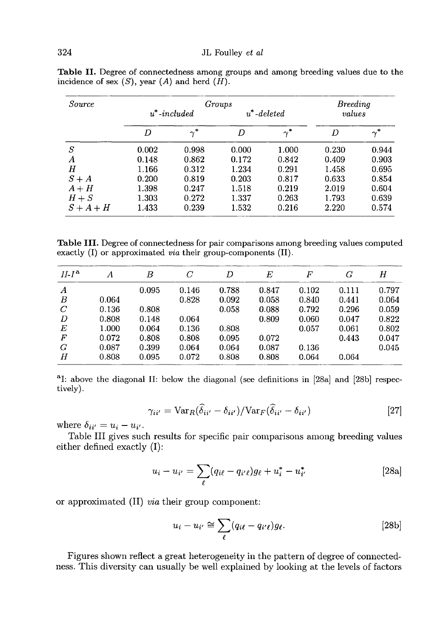| Source  |                 | Breedina   |                |            |        |            |
|---------|-----------------|------------|----------------|------------|--------|------------|
|         | $u^*$ -included |            | $u^*$ -deleted |            | values |            |
|         | D               | $\gamma^*$ | D              | $\gamma^*$ | D      | $\gamma^*$ |
| S       | 0.002           | 0.998      | 0.000          | 1.000      | 0.230  | 0.944      |
| Α       | 0.148           | 0.862      | 0.172          | 0.842      | 0.409  | 0.903      |
| Η       | 1.166           | 0.312      | 1.234          | 0.291      | 1.458  | 0.695      |
| $S+A$   | 0.200           | 0.819      | 0.203          | 0.817      | 0.633  | 0.854      |
| $A + H$ | 1.398           | 0.247      | 1.518          | 0.219      | 2.019  | 0.604      |
| $H+S$   | 1.303           | 0.272      | 1.337          | 0.263      | 1.793  | 0.639      |
| $S+A+H$ | 1.433           | 0.239      | 1.532          | 0.216      | 2.220  | 0.574      |

Table II. Degree of connectedness among groups and among breeding values due to the incidence of sex  $(S)$ , year  $(A)$  and herd  $(H)$ .

Table III. Degree of connectedness for pair comparisons among breeding values computed exactly  $(I)$  or approximated *via* their group-components  $(II)$ .

| $II-Ia$          | А     | В     | C     | D     | Е     | F     | G     | Η     |
|------------------|-------|-------|-------|-------|-------|-------|-------|-------|
| $\boldsymbol{A}$ |       | 0.095 | 0.146 | 0.788 | 0.847 | 0.102 | 0.111 | 0.797 |
| B                | 0.064 |       | 0.828 | 0.092 | 0.058 | 0.840 | 0.441 | 0.064 |
| $\mathcal{C}$    | 0.136 | 0.808 |       | 0.058 | 0.088 | 0.792 | 0.296 | 0.059 |
| D                | 0.808 | 0.148 | 0.064 |       | 0.809 | 0.060 | 0.047 | 0.822 |
| Е                | 1.000 | 0.064 | 0.136 | 0.808 |       | 0.057 | 0.061 | 0.802 |
| $\boldsymbol{F}$ | 0.072 | 0.808 | 0.808 | 0.095 | 0.072 |       | 0.443 | 0.047 |
| G                | 0.087 | 0.399 | 0.064 | 0.064 | 0.087 | 0.136 |       | 0.045 |
| Н                | 0.808 | 0.095 | 0.072 | 0.808 | 0.808 | 0.064 | 0.064 |       |

<sup>a</sup>I: above the diagonal II: below the diagonal (see definitions in [28a] and [28b] respectively).

$$
\gamma_{ii'} = \text{Var}_R(\hat{\delta}_{ii'} - \delta_{ii'}) / \text{Var}_F(\hat{\delta}_{ii'} - \delta_{ii'})
$$
\n[27]

where  $\delta_{ii'} = u_i - u_{i'}$ .

Table III gives such results for specific pair comparisons among breeding values either defined exactly (I):

$$
u_i - u_{i'} = \sum_{\ell} (q_{i\ell} - q_{i'\ell}) g_{\ell} + u_i^* - u_{i'}^* \tag{28a}
$$

or approximated (II) via their group component:

$$
u_i - u_{i'} \cong \sum_{\ell} (q_{i\ell} - q_{i'\ell}) g_{\ell}.
$$
 [28b]

Figures shown reflect a great heterogeneity in the pattern of degree of connectedness. This diversity can usually be well explained by looking at the levels of factors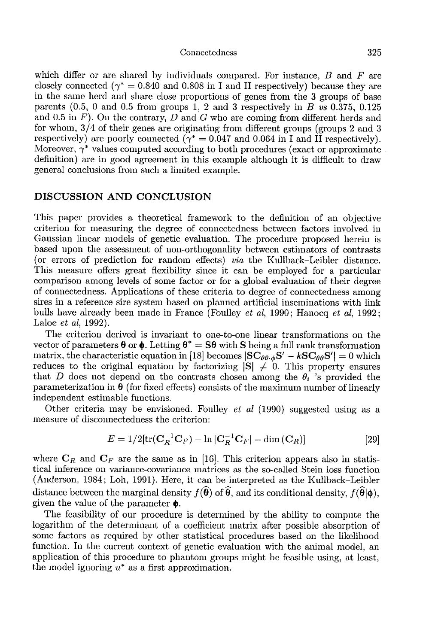which differ or are shared by individuals compared. For instance,  $B$  and  $F$  are closely connected ( $\gamma^* = 0.840$  and 0.808 in I and II respectively) because they are in the same herd and share close proportions of genes from the 3 groups of base parents  $(0.5, 0 \text{ and } 0.5 \text{ from groups } 1, 2 \text{ and } 3 \text{ respectively in } B \text{ vs } 0.375, 0.125$ and 0.5 in  $F$ ). On the contrary, D and G who are coming from different herds and for whom, 3/4 of their genes are originating from different groups (groups 2 and 3 respectively) are poorly connected ( $\gamma^* = 0.047$  and 0.064 in I and II respectively). Moreover,  $\gamma^*$  values computed according to both procedures (exact or approximate definition) are in good agreement in this example although it is difficult to draw general conclusions from such a limited example.

## DISCUSSION AND CONCLUSION

This paper provides a theoretical framework to the definition of an objective criterion for measuring the degree of connectedness between factors involved in Gaussian linear models of genetic evaluation. The procedure proposed herein is based upon tlie assessment of non-orthogonality between estimators of contrasts (or errors of prediction for random effects) via the Kullback-Leibler distance. This measure offers great flexibility since it can be employed for a particular comparison among levels of some factor or for a global evaluation of their degree of connectedness. Applications of these criteria to degree of connectedness among sires in a reference sire system based on planned artificial inseminations with link bulls have already been made in France (Foulley et al, 1990; Hanocq et al, 1992; Laloe et al, 1992).

The criterion derived is invariant to one-to-one linear transformations on the vector of parameters  $\boldsymbol{\theta}$  or  $\boldsymbol{\phi}$ . Letting  $\boldsymbol{\theta}^* = \mathbf{S}\boldsymbol{\theta}$  with S being a full rank transformation matrix, the characteristic equation in [18] becomes  $|SC_{\theta\theta\cdot\phi}S' - kSC_{\theta\theta}S'| = 0$  which reduces to the original equation by factorizing  $|S| \neq 0$ . This property ensures that D does not depend on the contrasts chosen among the  $\theta_i$  's provided the parameterization in  $\theta$  (for fixed effects) consists of the maximum number of linearly independent estimable functions.

Other criteria may be envisioned. Foulley *et al* (1990) suggested using as a measure of disconnectedness the criterion:

$$
E = 1/2 \left[ \text{tr}(\mathbf{C}_R^{-1} \mathbf{C}_F) - \ln |\mathbf{C}_R^{-1} \mathbf{C}_F| - \dim |\mathbf{C}_R| \right] \tag{29}
$$

where  $C_R$  and  $C_F$  are the same as in [16]. This criterion appears also in statistical inference on variance-covariance matrices as the so-called Stein loss function (Anderson, 19b4; Loh, 1991). Here, it can be interpreted as the Kullback-Leibler distance between the marginal density  $f(\widehat{\boldsymbol{\theta}})$  of  $\widehat{\boldsymbol{\theta}}$ , and its conditional density,  $f(\widehat{\boldsymbol{\theta}}|\boldsymbol{\phi})$ , given the value of the parameter  $\phi$ .

The feasibility of our procedure is determined by the ability to compute the logarithm of the determinant of a coefficient matrix after possible absorption of some factors as required by other statistical procedures based on the likelihood function. In the current context of genetic evaluation with the animal model, an application of this procedure to phantom groups might be feasible using, at least, the model ignoring  $u^*$  as a first approximation.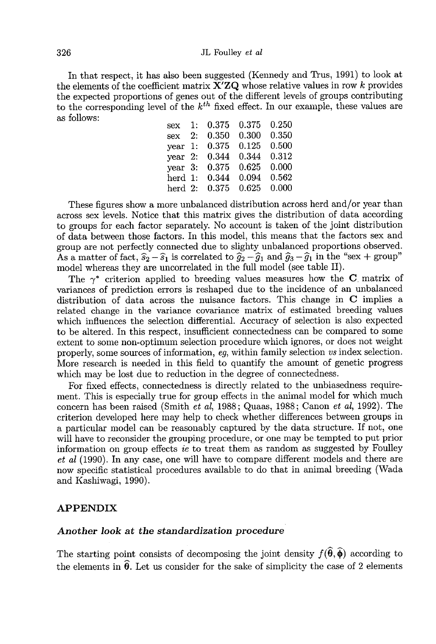In that respect, it has also been suggested (Kennedy and Trus, 1991) to look at the elements of the coefficient matrix  $X'ZQ$  whose relative values in row k provides the expected proportions of genes out of the different levels of groups contributing to the corresponding level of the  $k^{th}$  fixed effect. In our example, these values are as follows: as follows:  $\frac{1}{2}$   $\frac{1}{2}$   $\frac{1}{2}$   $\frac{1}{2}$   $\frac{1}{2}$   $\frac{1}{2}$   $\frac{1}{2}$   $\frac{1}{2}$   $\frac{1}{2}$   $\frac{1}{2}$   $\frac{1}{2}$   $\frac{1}{2}$   $\frac{1}{2}$   $\frac{1}{2}$   $\frac{1}{2}$   $\frac{1}{2}$   $\frac{1}{2}$   $\frac{1}{2}$   $\frac{1}{2}$   $\frac{1}{2}$   $\frac{1}{2}$ 

| sex                | 1: | 0.375 | 0.375 | 0.250 |
|--------------------|----|-------|-------|-------|
| sex                | 2: | 0.350 | 0.300 | 0.350 |
| year $1$ :         |    | 0.375 | 0.125 | 0.500 |
| $\mathrm{year}$ 2: |    | 0.344 | 0.344 | 0.312 |
| $\mathrm{year}$ 3: |    | 0.375 | 0.625 | 0.000 |
| herd 1:            |    | 0.344 | 0.094 | 0.562 |
| herd 2:            |    | 0.375 | 0.625 | 0.000 |
|                    |    |       |       |       |

These figures show a more unbalanced distribution across herd and/or year than across sex levels. Notice that this matrix gives the distribution of data according to groups for each factor separately. No account is taken of the joint distribution of data between those factors. In this model, this means that the factors sex and group are not perfectly connected due to slighty unbalanced proportions observed.<br>As a matter of fact,  $\hat{s}_2 - \hat{s}_1$  is correlated to  $\hat{g}_2 - \hat{g}_1$  and  $\hat{g}_3 - \hat{g}_1$  in the "sex + group" model whereas they are uncorrelated in the full model (see table II).

The  $\gamma^*$  criterion applied to breeding values measures how the C matrix of variances of prediction errors is reshaped due to the incidence of an unbalanced distribution of data across the nuisance factors. This change in C implies a related change in the variance covariance matrix of estimated breeding values which influences the selection differential. Accuracy of selection is also expected to be altered. In this respect, insufficient connectedness can be compared to some extent to some non-optimum selection procedure which ignores, or does not weight properly, some sources of information, eg, within family selection vs index selection. More research is needed in this field to quantify the amount of genetic progress which may be lost due to reduction in the degree of connectedness.

For fixed effects, connectedness is directly related to the unbiasedness requirement. This is especially true for group effects in the animal model for which much concern has been raised (Smith et al, 1988; Quaas, 1988; Canon et al, 1992). The criterion developed here may help to check whether differences between groups in a particular model can be reasonably captured by the data structure. If not, one will have to reconsider the grouping procedure, or one may be tempted to put prior information on group effects ie to treat them as random as suggested by Foulley et al (1990). In any case, one will have to compare different models and there are now specific statistical procedures available to do that in animal breeding (Wada and Kashiwagi, 1990).

## APPENDIX

### Another look at the standardization procedure

The starting point consists of decomposing the joint density  $f(\widehat{\theta}, \widehat{\phi})$  according to the elements in  $\hat{\theta}$ . Let us consider for the sake of simplicity the case of 2 elements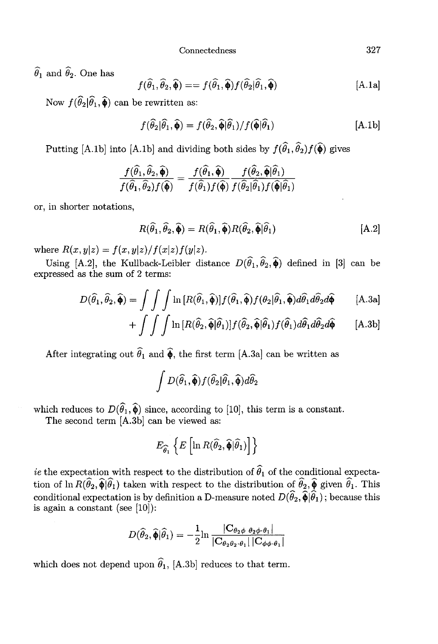$$
f(\widehat{\theta}_1, \widehat{\theta}_2, \widehat{\boldsymbol{\phi}}) = f(\widehat{\theta}_1, \widehat{\boldsymbol{\phi}}) f(\widehat{\theta}_2 | \widehat{\theta}_1, \widehat{\boldsymbol{\phi}})
$$
 [A.1a]

 $\hat{\theta}_1$  and  $\hat{\theta}_2$ . One has<br>  $f(\hat{\theta}_1, \hat{\theta}_2, \hat{\phi}) = -$ <br>
Now  $f(\hat{\theta}_2|\hat{\theta}_1, \hat{\phi})$  can be rewritten as:

$$
f(\widehat{\theta}_2|\widehat{\theta}_1,\widehat{\phi}) = f(\widehat{\theta}_2,\widehat{\phi}|\widehat{\theta}_1)/f(\widehat{\phi}|\widehat{\theta}_1)
$$
 [A.1b]

Putting [A.1b] into [A.1b] and dividing both sides by  $f(\widehat{\theta}_1, \widehat{\theta}_2) f(\widehat{\boldsymbol{\phi}})$  gives

$$
\frac{f(\widehat{\theta}_1,\widehat{\theta}_2,\widehat{\boldsymbol{\phi}})}{f(\widehat{\theta}_1,\widehat{\theta}_2)f(\widehat{\boldsymbol{\phi}})}=\frac{f(\widehat{\theta}_1,\widehat{\boldsymbol{\phi}})}{f(\widehat{\theta}_1)f(\widehat{\boldsymbol{\phi}})}\frac{f(\widehat{\theta}_2,\widehat{\boldsymbol{\phi}}|\widehat{\theta}_1)}{f(\widehat{\theta}_2|\widehat{\theta}_1)f(\widehat{\boldsymbol{\phi}}|\widehat{\theta}_1)}
$$

or, in shorter notations,

$$
R(\widehat{\theta}_1, \widehat{\theta}_2, \widehat{\boldsymbol{\phi}}) = R(\widehat{\theta}_1, \widehat{\boldsymbol{\phi}}) R(\widehat{\theta}_2, \widehat{\boldsymbol{\phi}} | \widehat{\theta}_1)
$$
 [A.2]

 $\frac{f(\widehat{\theta}_1, \widehat{\theta}_2, \widehat{\boldsymbol{\phi}})}{f(\widehat{\theta}_1, \widehat{\theta}_2)f(\widehat{\boldsymbol{\phi}})} = \frac{f(\widehat{\theta}_1, \widehat{\boldsymbol{\phi}})}{f(\widehat{\theta}_1)f(\widehat{\boldsymbol{\phi}})f(\widehat{\theta}_2)\widehat{\theta}_1)}$ <br>
or, in shorter notations,<br>  $R(\widehat{\theta}_1, \widehat{\theta}_2, \widehat{\boldsymbol{\phi}}) = R(\widehat{\theta}_1, \widehat{\boldsymbol{\phi}})R(\widehat{\theta}_2, \widehat{\boldsymbol{\phi}}|\widehat{\theta}_1$ expressed as the sum of 2 terms:

$$
D(\widehat{\theta}_1, \widehat{\theta}_2, \widehat{\boldsymbol{\phi}}) = \int \int \int \ln [R(\widehat{\theta}_1, \widehat{\boldsymbol{\phi}})] f(\widehat{\theta}_1, \widehat{\boldsymbol{\phi}}) f(\theta_2 | \widehat{\theta}_1, \widehat{\boldsymbol{\phi}}) d\widehat{\theta}_1 d\widehat{\theta}_2 d\widehat{\boldsymbol{\phi}} \qquad [A.3a]
$$

$$
+ \int \int \int \ln \left[ R(\widehat{\theta}_2, \widehat{\phi} | \widehat{\theta}_1) \right] f(\widehat{\theta}_2, \widehat{\phi} | \widehat{\theta}_1) f(\widehat{\theta}_1) d\widehat{\theta}_1 d\widehat{\theta}_2 d\widehat{\phi} \qquad [A.3b]
$$

After integrating out  $\widehat{\theta}_1$  and  $\widehat{\phi}$ , the first term [A.3a] can be written as

$$
\int D(\widehat{\theta}_1,\widehat{\boldsymbol{\phi}})f(\widehat{\theta}_2|\widehat{\theta}_1,\widehat{\boldsymbol{\phi}})d\widehat{\theta}_2
$$

which reduces to  $D(\hat{\theta}_1, \hat{\phi})$  since, according to [10], this term is a constant.

The second term [A.3b] can be viewed as:

$$
E_{\widehat{\theta}_1}\left\{E\left[\ln R(\widehat{\theta}_2,\widehat{\boldsymbol{\phi}}|\widehat{\theta}_1)\right]\right\}
$$

ie the expectation with respect to the distribution of  $\theta_1$  of the conditional expectato the expectation with respect to the distribution of  $\hat{\theta}_1$  of the conditional expectation of  $\hat{\theta}_2$ ,  $\hat{\phi}$  given  $\hat{\theta}_1$ . This conditional expectation is by definition a D-measure noted  $D(\hat{\theta}_2, \hat{\phi}|\hat{\theta}_1)$ ; b is again a constant (see  $[10]$ ):

$$
D(\widehat{\theta}_2,\widehat{\pmb{\phi}}|\widehat{\theta}_1)=-\frac{1}{2}\text{ln}\,\frac{|\mathbf{C}_{\theta_2\phi}\; \theta_2\phi\cdot \theta_1|}{|\mathbf{C}_{\theta_2\theta_2\cdot \theta_1}|\, |\mathbf{C}_{\phi\phi\cdot \theta_1}|}
$$

which does not depend upon  $\widehat{\theta}_1$ , [A.3b] reduces to that term.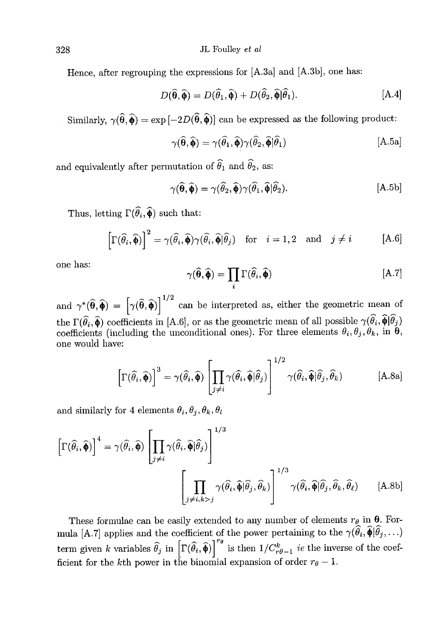JL Foulley et al

Hence, after regrouping the expressions for [A.3a] and [A.3b], one has:

$$
D(\widehat{\boldsymbol{\theta}}, \widehat{\boldsymbol{\phi}}) = D(\widehat{\theta}_1, \widehat{\boldsymbol{\phi}}) + D(\widehat{\theta}_2, \widehat{\boldsymbol{\phi}} | \widehat{\theta}_1).
$$
 [A.4]

Similarly,  $\gamma(\hat{\theta}, \hat{\phi}) = \exp[-2D(\hat{\theta}, \hat{\phi})]$  can be expressed as the following product:

$$
\gamma(\widehat{\boldsymbol{\theta}},\widehat{\boldsymbol{\phi}}) = \gamma(\widehat{\theta}_1,\widehat{\boldsymbol{\phi}})\gamma(\widehat{\theta}_2,\widehat{\boldsymbol{\phi}}|\widehat{\theta}_1)
$$
 [A.5a]

and equivalently after permutation of  $\widehat{\theta}_1$  and  $\widehat{\theta}_2$ , as:

$$
\gamma(\widehat{\boldsymbol{\theta}},\widehat{\boldsymbol{\phi}}) = \gamma(\widehat{\theta}_2,\widehat{\boldsymbol{\phi}})\gamma(\widehat{\theta}_1,\widehat{\boldsymbol{\phi}}|\widehat{\theta}_2).
$$
 [A.5b]

Thus, letting  $\Gamma(\widehat{\theta}_i, \widehat{\boldsymbol{\phi}})$  such that:

$$
\left[\Gamma(\widehat{\theta}_i,\widehat{\boldsymbol{\phi}})\right]^2 = \gamma(\widehat{\theta}_i,\widehat{\boldsymbol{\phi}})\gamma(\widehat{\theta}_i,\widehat{\boldsymbol{\phi}}|\widehat{\theta}_j) \quad \text{for} \quad i = 1,2 \quad \text{and} \quad j \neq i \tag{A.6}
$$

one has:

$$
\gamma(\widehat{\boldsymbol{\theta}},\widehat{\boldsymbol{\phi}}) = \prod_{i} \Gamma(\widehat{\theta}_{i},\widehat{\boldsymbol{\phi}})
$$
 [A.7]

and  $\gamma^*(\widehat{\theta}, \widehat{\phi}) = \left[\gamma(\widehat{\theta}, \widehat{\phi})\right]^{1/2}$  can be interpreted as, either the geometric mean of the  $\Gamma(\theta_i, \hat{\phi})$  coefficients in [A.6], or as the geometric mean of all possible  $\gamma(\theta_i, \phi | \theta_j)$ the  $\Gamma(\hat{\theta}_i, \hat{\phi})$  coefficients in [A.6], or as the geometric mean of all possible  $\gamma(\hat{\theta}_i, \hat{\phi}|\hat{\theta}_j)$  coefficients (including the unconditional ones). For three elements  $\theta_i, \theta_j, \theta_k$ , in  $\theta_j$  one would have:

$$
\left[\Gamma(\widehat{\theta}_{i},\widehat{\boldsymbol{\phi}})\right]^{3} = \gamma(\widehat{\theta}_{i},\widehat{\boldsymbol{\phi}})\left[\prod_{j\neq i} \gamma(\widehat{\theta}_{i},\widehat{\boldsymbol{\phi}}|\widehat{\theta}_{j})\right]^{1/2} \gamma(\widehat{\theta}_{i},\widehat{\boldsymbol{\phi}}|\widehat{\theta}_{j},\widehat{\theta}_{k})
$$
 [A.8a]

and similarly for 4 elements  $\theta_i$ ,  $\theta_j$ ,  $\theta_k$ ,  $\theta_l$ 

$$
\left[\Gamma(\widehat{\theta}_{i},\widehat{\Phi})\right]^{4} = \gamma(\widehat{\theta}_{i},\widehat{\Phi}) \left[\prod_{j\neq i} \gamma(\widehat{\theta}_{i},\widehat{\Phi}|\widehat{\theta}_{j})\right]^{1/3}
$$
\n
$$
\left[\prod_{j\neq i,k>j} \gamma(\widehat{\theta}_{i},\widehat{\Phi}|\widehat{\theta}_{j},\widehat{\theta}_{k})\right]^{1/3} \gamma(\widehat{\theta}_{i},\widehat{\Phi}|\widehat{\theta}_{j},\widehat{\theta}_{k},\widehat{\theta}_{\ell}) \qquad \text{[A.8b]}
$$
\nThese formulae can be easily extended to any number of elements  $r_{\theta}$  in **0**. Formula [A.7] applies and the coefficient of the power pertaining to the  $\gamma(\widehat{\theta}_{i},\widehat{\Phi}|\widehat{\theta}_{j},\ldots)$ 

These formulae can be easily extended to any number of elements  $r_{\theta}$  in  $\theta$ . Formula [A.7] applies and the coefficient of the power pertaining to the  $\gamma(\widehat{\theta}_i, \widehat{\phi}|\widehat{\theta}_j, ...)$ <br>term given k variables  $\widehat{\theta}_j$  in  $\left$ ficient for the kth power in the binomial expansion of order  $r_{\theta} - 1$ .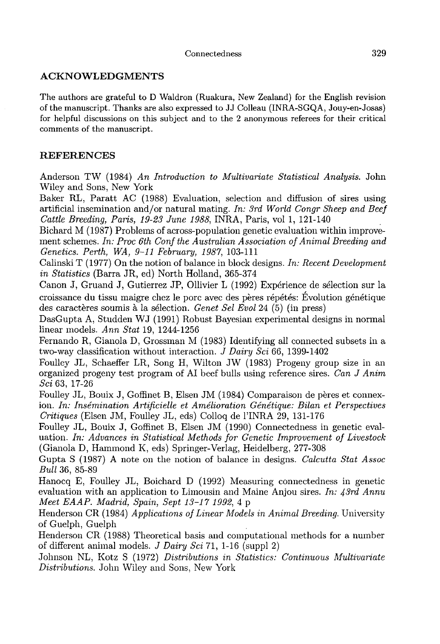# ACKNOWLEDGMENTS

The authors are grateful to D Waldron (Ruakura, New Zealand) for the English revision of the manuscript. Thanks are also expressed to JJ Colleau (INRA-SGQA, Jouy-en-Josas) for helpful discussions on this subject and to the 2 anonymous referees for their critical comments of the manuscript.

# REFERENCES

Anderson TW (1984) An Introduction to Multivariate Statistical Analysis. John Wiley and Sons, New York

Baker RL, Paratt AC (1988) Evaluation, selection and diffusion of sires using artificial insemination and/or natural mating. In: 3rd World Congr Sheep and Beef Cattle Breeding, Paris, 19-23 June 1988, INRA, Paris, vol 1, 121-140 .

Bichard M (1987) Problems of across-population genetic evaluation within improvement schemes. In: Proc 6th Conf the Australian Association of Animal Breeding and Genetics. Perth, WA, 9-11 February, 1987, 103-111

Calinski T (1977) On the notion of balance in block designs. In: Recent Development in Statistics (Barra JR, ed) North Holland, 365-374

Canon J, Gruand J, Gutierrez JP, Ollivier L (1992) Experience de selection sur la croissance du tissu maigre chez le porc avec des pères répétés: Évolution génétique des caractères soumis à la selection. Genet Sel Evol 24 (5) (in press)

DasGupta A, Studden WJ (1991) Robust Bayesian experimental designs in normal linear models. Ann Stat 19, 1244-1256

Fernando R, Gianola D, Grossman M (1983) Identifying all connected subsets in a two-way classification without interaction. J Dairy Sci 66, 1399-1402

Foulley JL, Schaeffer LR, Song H, Wilton JW (1983) Progeny group size in an organized progeny test program of AI beef bulls using reference sires. Can J Anim Sci 63, 17-26<br>Foulley JL, Bouix J, Goffinet B, Elsen JM (1984) C organized progeny test program of AI beef bulls using reference sires. Can J Anim Sci 63, 17-26

Foulley JL, Bouix J, Goffinet B, Elsen JM (1984) Comparaison de pères et connex-<br>ion. In: Insémination Artificielle et Amélioration Génétique: Bilan et Perspectives Critiques (Elsen JM, Foulley JL, eds) Colloq de 1'INRA 29, 131-176

Foulley JL, Bouix J, Goffinet B, Elsen JM (1990) Connectedness in genetic evaluation. In: Advances in Statistical Methods for Genetic Improvement of Livestock (Gianola D, Hammond K, eds) Springer-Verlag, Heidelberg, 277-308

Gupta S (1987) A note on the notion of balance in designs. Calcutta Stat Assoc Bull 36, 85-89

Hanocq E, Foulley JL, Boichard D (1992) Measuring connectedness in genetic evaluation with an application to Limousin and Maine Anjou sires. In:  $43rd$  Annu Meet EAAP. Madrid, Spain, Sept 13-17 1992, 4 p

Henderson CR (1984) Applications of Linear Models in Animal Breeding. University of Guelph, Guelph .

Henderson CR (1988) Theoretical basis and computational methods for a number of different animal models. J Dairy Sci 71, 1-16 (suppl 2)

Johnson NL, Kotz S (1972) Distributions in Statistics: Continuous Multivariate Distributions. John Wiley and Sons, New York